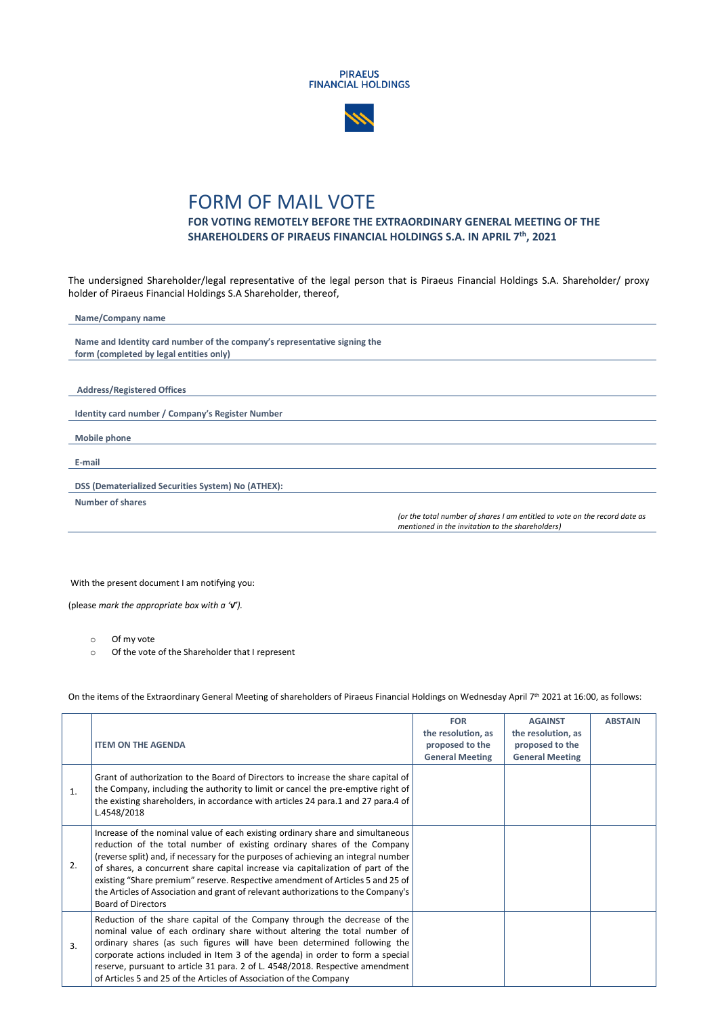



## FORM OF MAIL VOTE

## **FOR VOTING REMOTELY BEFORE THE EXTRAORDINARY GENERAL MEETING OF THE SHAREHOLDERS OF PIRAEUS FINANCIAL HOLDINGS S.A. IN APRIL 7 th, 2021**

The undersigned Shareholder/legal representative of the legal person that is Piraeus Financial Holdings S.A. Shareholder/ proxy holder of Piraeus Financial Holdings S.A Shareholder, thereof,

| Name/Company name                                                         |                                                                                                                                |
|---------------------------------------------------------------------------|--------------------------------------------------------------------------------------------------------------------------------|
|                                                                           |                                                                                                                                |
| Name and Identity card number of the company's representative signing the |                                                                                                                                |
| form (completed by legal entities only)                                   |                                                                                                                                |
|                                                                           |                                                                                                                                |
|                                                                           |                                                                                                                                |
| <b>Address/Registered Offices</b>                                         |                                                                                                                                |
|                                                                           |                                                                                                                                |
| Identity card number / Company's Register Number                          |                                                                                                                                |
|                                                                           |                                                                                                                                |
| Mobile phone                                                              |                                                                                                                                |
|                                                                           |                                                                                                                                |
| E-mail                                                                    |                                                                                                                                |
|                                                                           |                                                                                                                                |
| DSS (Dematerialized Securities System) No (ATHEX):                        |                                                                                                                                |
| <b>Number of shares</b>                                                   |                                                                                                                                |
|                                                                           | (or the total number of shares I am entitled to vote on the record date as<br>mentioned in the invitation to the shareholders) |
|                                                                           |                                                                                                                                |

With the present document I am notifying you:

(please *mark the appropriate box with a '√').* 

o Of my vote

o Of the vote of the Shareholder that I represent

On the items of the Extraordinary General Meeting of shareholders of Piraeus Financial Holdings on Wednesday April 7<sup>th</sup> 2021 at 16:00, as follows:

|    | <b>ITEM ON THE AGENDA</b>                                                                                                                                                                                                                                                                                                                                                                                                                                                                                                                | <b>FOR</b><br>the resolution, as<br>proposed to the<br><b>General Meeting</b> | <b>AGAINST</b><br>the resolution, as<br>proposed to the<br><b>General Meeting</b> | <b>ABSTAIN</b> |
|----|------------------------------------------------------------------------------------------------------------------------------------------------------------------------------------------------------------------------------------------------------------------------------------------------------------------------------------------------------------------------------------------------------------------------------------------------------------------------------------------------------------------------------------------|-------------------------------------------------------------------------------|-----------------------------------------------------------------------------------|----------------|
| 1. | Grant of authorization to the Board of Directors to increase the share capital of<br>the Company, including the authority to limit or cancel the pre-emptive right of<br>the existing shareholders, in accordance with articles 24 para.1 and 27 para.4 of<br>L.4548/2018                                                                                                                                                                                                                                                                |                                                                               |                                                                                   |                |
| 2. | Increase of the nominal value of each existing ordinary share and simultaneous<br>reduction of the total number of existing ordinary shares of the Company<br>(reverse split) and, if necessary for the purposes of achieving an integral number<br>of shares, a concurrent share capital increase via capitalization of part of the<br>existing "Share premium" reserve. Respective amendment of Articles 5 and 25 of<br>the Articles of Association and grant of relevant authorizations to the Company's<br><b>Board of Directors</b> |                                                                               |                                                                                   |                |
| 3. | Reduction of the share capital of the Company through the decrease of the<br>nominal value of each ordinary share without altering the total number of<br>ordinary shares (as such figures will have been determined following the<br>corporate actions included in Item 3 of the agenda) in order to form a special<br>reserve, pursuant to article 31 para. 2 of L. 4548/2018. Respective amendment<br>of Articles 5 and 25 of the Articles of Association of the Company                                                              |                                                                               |                                                                                   |                |